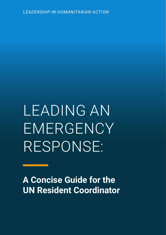*LEADERSHIP IN HUMANITARIAN ACTION*

LEADING AN EMERGENCY RESPONSE:

**A Concise Guide for the UN Resident Coordinator**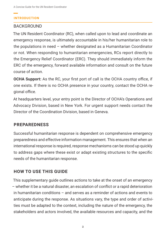### **INTRODUCTION**

### BACKGROUND

The UN Resident Coordinator (RC), when called upon to lead and coordinate an emergency response, is ultimately accountable in his/her humanitarian role to the populations in need – whether designated as a Humanitarian Coordinator or not. When responding to humanitarian emergencies, RCs report directly to the Emergency Relief Coordinator (ERC). They should immediately inform the ERC of the emergency, forward available information and consult on the future course of action.

**OCHA Support:** As the RC, your first port of call is the OCHA country office, if one exists. If there is no OCHA presence in your country, contact the OCHA regional office.

At headquarters level, your entry point is the Director of OCHA's Operations and Advocacy Division, based in New York. For urgent support needs contact the Director of the Coordination Division, based in Geneva.

### **PREPAREDNESS**

Successful humanitarian response is dependent on comprehensive emergency preparedness and effective information management. This ensures that when an international response is required, response mechanisms can be stood up quickly to address gaps where these exist or adapt existing structures to the specific needs of the humanitarian response.

### **HOW TO USE THIS GUIDE**

This supplementary guide outlines actions to take at the onset of an emergency – whether it be a natural disaster, an escalation of conflict or a rapid deterioration in humanitarian conditions – and serves as a reminder of actions and events to anticipate during the response. As situations vary, the type and order of activities must be adapted to the context, including the nature of the emergency, the stakeholders and actors involved, the available resources and capacity, and the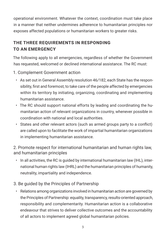operational environment. Whatever the context, coordination must take place in a manner that neither undermines adherence to humanitarian principles nor exposes affected populations or humanitarian workers to greater risks.

# **THE THREE REQUIREMENTS IN RESPONDING TO AN EMERGENCY**

The following apply to all emergencies, regardless of whether the Government has requested, welcomed or declined international assistance. The RC must:

- 1. Complement Government action
	- As set out in General Assembly resolution 46/182, each State has the responsibility, first and foremost, to take care of the people affected by emergencies within its territory by initiating, organizing, coordinating and implementing humanitarian assistance.
	- The RC should support national efforts by leading and coordinating the humanitarian action of relevant organizations in country, whenever possible in coordination with national and local authorities.
	- States and other relevant actors (such as armed groups party to a conflict) are called upon to facilitate the work of impartial humanitarian organizations in implementing humanitarian assistance.

2. Promote respect for international humanitarian and human rights law, and humanitarian principles

- In all activities, the RC is guided by international humanitarian law (IHL), international human rights law (IHRL) and the humanitarian principles of humanity, neutrality, impartiality and independence.
- 3. Be guided by the Principles of Partnership
	- Relations among organizations involved in humanitarian action are governed by the Principles of Partnership: equality, transparency, results-oriented approach, responsibility and complementarity. Humanitarian action is a collaborative endeavour that strives to deliver collective outcomes and the accountability of all actors to implement agreed global humanitarian policies.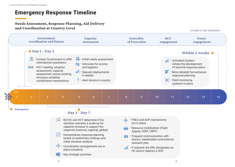# Emergency Response Timeline

# Needs Assessment, Response Planning, Aid Delivery and Coordination at Country Level

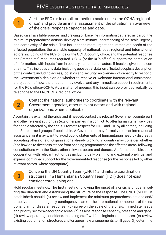# FIVE ESSENTIAL STEPS TO TAKE IMMEDIATELY

**1** Alert the ERC (or in small- or medium-scale crises, the OCHA regional office) and provide an initial assessment of the situation: an overview of the crisis, response capacities and gaps.

Based on all available sources, and drawing on baseline information gathered as part of the minimum preparedness actions, develop a preliminary understanding of the scale, urgency and complexity of the crisis. This includes the most urgent and immediate needs of the affected population; the available capacity of national, local, regional and international actors, including of the RC's office or the OCHA country office; and the potential response and (immediate) resources required. OCHA (or the RC's office) supports the compilation of information, with inputs from in-country humanitarian actors if feasible given time constraints. This includes any data, including geospatial data, on affected people; a description of the context, including access, logistics and security; an overview of capacity to respond; the Government's decision on whether to receive or welcome international assistance; a projection of how the situation may evolve; and any immediate support requirements for the RC's office/OCHA. As a matter of urgency, this input can be provided verbally by telephone to the ERC/OCHA regional office.



Contact the national authorities to coordinate with the relevant Government agencies, other relevant actors and with regional organizations, where applicable.

Ascertain the extent of the crisis and, if needed, contact the relevant Government counterpart and other relevant authorities (e.g. other parties in a conflict) to offer humanitarian services for people affected by the crisis. Promote respect for IHRL and IHL by all parties, including non-State armed groups if applicable. A Government may formally request international assistance, or it may want to avoid public statements of humanitarian need by discreetly accepting offers of aid. Organizations already working in country may consider whether (and how) to re-direct assistance from ongoing programmes to the affected areas, following consultations with the State, other relevant actors and donors. As far as possible, seek cooperation with relevant authorities including daily planning and external briefings, and express continued support for the Government-led response (or the response led by other relevant actors, where appropriate).

# **3**

Convene the UN Country Team (UNCT) and initiate coordination structures. If a Humanitarian Country Team (HCT) does not exist, consider establishing one.

Hold regular meetings. The first meeting following the onset of a crisis is critical in setting the direction and establishing the structure of the response. The UNCT (or HCT if established) should: (a) review and implement the minimum preparedness actions and/ or activate the inter-agency contingency plan (or the international component of the national plan for disaster response); (b) agree on the scale of the crisis, immediate needs and priority sectors/geographic areas; (c) assess response capacity/presence and gaps; (d) review operating conditions, including staff welfare, logistics and access; (e) review existing coordination structures and/or agree new arrangements to fill gaps; (f) determine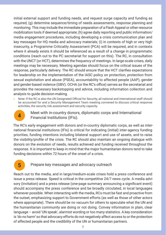initial external support and funding needs, and request surge capacity and funding as required; (g) determine sequence/timing of needs assessments, response planning and monitoring. This may include the immediate preparation of a Flash Appeal or other resource mobilization tools if deemed appropriate; (h) agree daily reporting and public information/ media engagement procedures, including developing a crisis communication plan and key messages for HQ media and advocacy materials; (i) in contexts of high or very high insecurity, a Programme Criticality Assessment (PCA) will be required, and in contexts where it already exists it should be referenced as a result of a change in programmatic conditions (reach out to the PC secretariat for support on this). The RC, in consultation with the UNCT (or HCT), determines the frequency of meetings. In large-scale crises, daily meetings may be necessary. Meeting agendas should focus on the critical issues of the response, particularly delivery. The RC should ensure that the HCT clarifies expectations for leadership on the implementation of the IASC policy on protection, protection from sexual exploitation and abuse (PSEA), accountability to affected people (AAP), gender and gender-based violence (GBV). OCHA (or the RC's office) serves as the secretariat and provides the necessary backstopping and advice, including information collection and analysis to guide decision-making.

> Note: If the RC is also the UN Designated Official for Security, all national and international staff should be accounted for and a Security Management Team meeting convened to discuss critical response activities, the security risk assessment and security capacity.



### **4** Meet with in-country donors, diplomatic corps and International Financial Institutions (IFIs).

The RC's early engagement with donors and in-country diplomatic corps, as well as international financial institutions (IFIs) is critical for indicating (initial) inter-agency funding priorities, funding intentions including bilateral support and use of assets, and to raise the visibility/profile of the crisis. The RC should also maintain an ongoing dialogue with donors on the evolution of needs, results achieved and funding received throughout the response. It is important to keep in mind that the major humanitarian donors tend to take funding decisions within 72 hours of the onset of a crisis.

### **5** Prepare key messages and advocacy outreach

Reach out to the media, and in large/medium-scale crises hold a press conference and issue a press release. Speed is critical in the competitive 24/7 news cycle. A media advisory (invitation) and a press release (one-page summary announcing a significant event) should accompany the press conference and be broadly circulated, in local languages whenever possible. When interacting with the media, RCs must be fast and proactive from the outset, emphasizing support to Government efforts (as well as those of other actors where appropriate). There should be no vacuum for others to speculate what the UN and the humanitarian community are doing or not doing. Convey information in plain, clear language – avoid 'UN speak', alarmist wording or too many statistics. A key consideration is 'do no harm' so that advocacy efforts do not negatively affect access to or the protection of affected people and the credibility of the UN or humanitarian partners.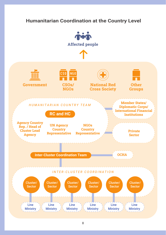# **Humanitarian Coordination at the Country Level**

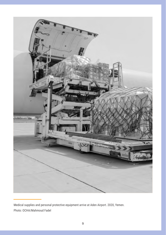

Medical supplies and personal protective equipment arrive at Aden Airport. 2020, Yemen. Photo: OCHA/Mahmoud Fadel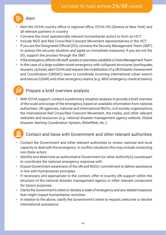

- Alert the OCHA country office or regional office, OCHA HQ (Geneva or New York) and all relevant partners in country.
- Convene the most operationally relevant humanitarian actors to form an HCT.
- Include NGO and Red Cross/Red Crescent Movement representatives in the HCT.
- If you are the Designated Official (DO), convene the Security Management Team (SMT) to assess the security situation and agree on immediate measures; if you are not the DO, support the process through the SMT.
- If the emergency affects UN staff, assets or premises, establish a Crisis Management Team.
- In the case of a large sudden-onset emergency with collapsed structures (earthquake, tsunami, cyclone), alert OCHA and request the mobilization of a UN Disaster Assessment and Coordination (UNDAC) team to coordinate incoming international urban searchand-rescue (USAR) and other emergency teams (e.g. WHO emergency medical teams).

# Prepare a brief overview analysis

• With OCHA support, conduct a preliminary situation analysis to provide a brief overview of the scale and scope of the emergency, based on available information from national authorities, UN agencies, national and international NGOs, civil-society organizations, the International Red Cross/Red Crescent Movement, the media, and other relevant websites and resources (e.g. national disaster management agency website, Global Disaster Alerting Coordination System, ReliefWeb, etc.).

Gī

### Contact and liaise with Government and other relevant authorities

- Contact the Government and other relevant authorities to review national and local capacity to deal with the emergency. In conflict situations this may include contacting non-State actors.
- Identify and determine an authoritative Government (or other authority's) counterpart to coordinate the national emergency response with.
- Ensure Government awareness of the UN and NGOs' commitment to deliver assistance in line with humanitarian principles.
- If necessary and appropriate to the context, offer in-country UN support within the structure of the national disaster management agency or other relevant component for liaison purposes.
- Clarify the Government's intent to declare a state of emergency and any related measures that might impact humanitarian activities.
- In relation to the above, clarify the Government's intent to request, welcome or decline international assistance: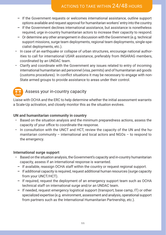# ACTIONS TO TAKE WITHIN 24/48 HOURS

- **–** If the Government requests or welcomes international assistance, outline support options available and request approval for humanitarian workers' entry into the country.
- **–** If the Government declines international assistance, but assistance is nonetheless required, urge in-country humanitarian actors to increase their capacity to respond.
- **–** Or determine any other arrangement in discussion with the Government (e.g. technical support missions, surge team deployments, regional team deployments, single-specialist deployments, etc.).
- In case of an earthquake or collapse of urban structures, encourage national authorities to call for international USAR assistance, preferably from INSARAG members, coordinated by an UNDAC team.
- Clarify and coordinate with the Government any issues related to entry of incoming international humanitarian aid personnel (visa, permits) and of humanitarian aid goods (customs procedures). In conflict situations it may be necessary to engage with non-State armed groups to provide assistance to areas under their control.

# Assess your in-country capacity

Liaise with OCHA and the ERC to help determine whether the initial assessment warrants a Scale-Up activation, and closely monitor this as the situation evolves.

### **UN and humanitarian community in country**

- Based on the situation analysis and the minimum preparedness actions, assess the capacity of your office to coordinate the response.
- In consultation with the UNCT and HCT, review the capacity of the UN and the humanitarian community – international and local actors and NGOs – to respond to the emergency.

### **International surge support**

- Based on the situation analysis, the Government's capacity and in-country humanitarian capacity, assess if an international response is warranted.
	- **–** If available, reassign OCHA staff within the country or request regional support.
	- **–** If additional capacity is required, request additional human resources (surge capacity from your UNCT/HCT).
	- **–** If required, request the deployment of an emergency support team such as OCHA technical staff on international surge and/or an UNDAC team.
	- **–** If needed, request emergency logistical support (transport, base camp, IT) or other specialized expertise (e.g. environment, assessment and analysis, operational support from partners such as the International Humanitarian Partnership, etc.).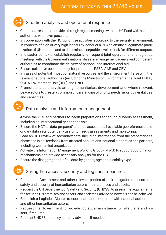# Situation analysis and operational response

- Coordinate response activities through regular meetings with the HCT and with national authorities whenever possible.
- In cooperation with the HCT, prioritize activities according to the security environment. In contexts of high or very high insecurity, conduct a PCA to ensure a legitimate prioritization of UN outputs and to determine acceptable levels of risk for different outputs.
- In disaster contexts, establish regular and frequent joint operational and logistics meetings with the Government's national disaster management agency and competent authorities to coordinate the delivery of national and international aid.
- Ensure collective accountability for protection, PSEA, AAP and GBV.
- In cases of potential impact on natural resources and the environment, liaise with the relevant national authorities (including the Ministry of Environment), the Joint UNEP/ OCHA Environment Unit (JEU) and UNEP.
- Promote shared analysis among humanitarian, development and, where relevant, peace actors to create a common understanding of priority needs, risks, vulnerabilities and capacities.



- Advise the HCT and partners to begin preparations for an initial needs assessment, including an intersectional gender analysis.
- Ensure the HCT is 'data-prepared' and has access to all available georeferenced secondary data sets potentially useful to needs assessments and monitoring.
- Lead an HCT review of secondary data, including information from the preparedness phase and initial feedback from affected populations, national authorities and partners, including women-led organizations.
- Activate the Information Management Working Group (IMWG) to support coordination mechanisms and provide necessary analysis for the HCT.
- Ensure the disaggregation of all data by gender, age and disability type.

### Strengthen access, security and logistics measures

- Remind the Government and other relevant parties of their obligation to ensure the safety and security of humanitarian actors, their premises and assets.
- Request the UN Department of Safety and Security (UNDSS) to assess the requirements for securing UN premises and assets, and seek their advice on how this can be achieved.
- Establish a Logistics Cluster to coordinate and cooperate with national authorities and other humanitarian actors.
- Request the Government to provide logistical assistance for site visits and assets, if required.
- Request UNDSS to deploy security advisers, if needed.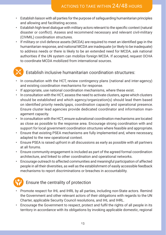- Establish liaison with all parties for the purpose of safeguarding humanitarian principles and allowing and facilitating access.
- Establish high-level dialogue with military actors relevant to the specific context (natural disaster or conflict). Assess and recommend necessary and relevant civil-military (CIVMIL) coordination structures.
- If military or civil defence assets (MCDA) are required to meet an identified gap in the humanitarian response, and national MCDA are inadequate (or likely to be inadequate) to address needs or there is likely to be an extended need for MCDA, ask national authorities if the UN system can mobilize foreign MCDA. If accepted, request OCHA to coordinate MCDA mobilized from international sources.



## Establish inclusive humanitarian coordination structures:

- In consultation with the HCT, review contingency plans (national and inter-agency) and existing coordination mechanisms for response.
- If appropriate, use national coordination mechanisms, where these exist.
- In consultation with the HCT, assess the need to activate clusters, agree which clusters should be established and which agency/organization(s) should lead them based on identified priority needs/gaps, coordination capacity and operational presence. Ensure cluster lead agencies provide dedicated coordinator and information management capacity.
- In consultation with the HCT, ensure subnational coordination mechanisms are located as close as possible to the response area. Encourage strong coordination with and support for local government coordination structures where feasible and appropriate.
- Ensure that existing PSEA mechanisms are fully implemented and, where necessary, adapted to the new operational context.
- Ensure PSEA is raised upfront in all discussions as early as possible with all partners at all forums.
- Ensure community engagement is included as part of the agreed formal coordination architecture, and linked to other coordination and operational networks.
- Encourage outreach to affected communities and meaningful participation of affected people in all their diversities, as well as the establishment of easily accessible feedback mechanisms to report discriminations or breaches in accountability.



# Ensure the centrality of protection

- Promote respect for IHL and IHRL by all parties, including non-State actors. Remind the Government and other relevant actors of their obligations with regards to the UN Charter, applicable Security Council resolutions, and IHL and IHRL.
- Encourage the Government to respect, protect and fulfil the rights of all people in its territory in accordance with its obligations by invoking applicable domestic, regional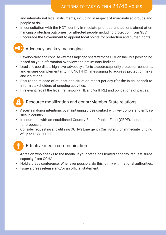and international legal instruments, including in respect of marginalized groups and people at risk.

- In consultation with the HCT, identify immediate priorities and actions aimed at enhancing protection outcomes for affected people, including protection from GBV.
- Encourage the Government to appoint focal points for protection and human rights.

# Advocacy and key messaging

- Develop clear and concise key messaging to share with the HCT on the UN's positioning based on your information overview and preliminary findings.
- Lead and coordinate high-level advocacy efforts to address priority protection concerns, and ensure complementarity in UNCT/HCT messaging to address protection risks and violations.
- Ensure the release of at least one situation report per day (for the initial period) to inform stakeholders of ongoing activities.
- If relevant, recall the legal framework (IHL and/or IHRL) and obligations of parties.

### Resource mobilization and donor/Member State relations

- Ascertain donor intentions by maintaining close contact with key donors and embassies in country.
- In countries with an established Country-Based Pooled Fund (CBPF), launch a call for proposals.
- Consider requesting and utilizing OCHA's Emergency Cash Grant for immediate funding of up to US\$100,000.



(5

### Effective media communication

- Agree on who speaks to the media. If your office has limited capacity, request surge capacity from OCHA.
- Hold a press conference. Whenever possible, do this jointly with national authorities.
- Issue a press release and/or an official statement.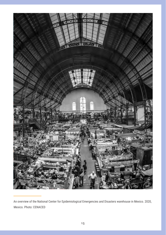

An overview of the National Center for Epidemiological Emergencies and Disasters warehouse in Mexico. 2020, Mexico. Photo: CENACED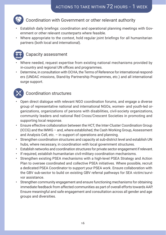

### Coordination with Government or other relevant authority

- Establish daily briefings: coordination and operational planning meetings with Government or other relevant counterparts where feasible.
- Where appropriate to the context, hold regular joint briefings for all humanitarian partners (both local and international).



# Capacity assessment

- Where needed, request expertise from existing national mechanisms provided by in-country and regional UN offices and programmes.
- Determine, in consultation with OCHA, the Terms of Reference for international responders (UNDAC missions, Stand-by Partnership Programmes, etc.) and all international surge support.



# Coordination structures

- Open direct dialogue with relevant NGO coordination forums, and engage a diverse group of representative national and international NGOs, women- and youth-led organizations, organizations of persons with disabilities, civil-society organizations, community leaders and national Red Cross/Crescent Societies in promoting and supporting local response.
- Ensure effective collaboration between the HCT, the Inter-Cluster Coordination Group (ICCG) and the IMWG – and, where established, the Cash Working Group, Assessment and Analysis Cell, etc. – in support of operations and planning.
- Strengthen coordination structures and capacity at sub-district level and establish UN hubs, where necessary, in coordination with local government structures.
- Establish networks and coordination structures for private sector engagement if relevant.
- If required, establish humanitarian civil-military coordination mechanisms.
- Strengthen existing PSEA mechanisms with a high-level PSEA Strategy and Action Plan to oversee coordinated and collective PSEA initiatives. Where possible, recruit a dedicated PSEA Coordinator to support your PSEA work. Ensure collaboration with the GBV sub-sector to build on existing GBV referral pathways for SEA victim/survivor assistance.
- Strengthen community engagement and ensure functioning mechanisms for obtaining immediate feedback from affected communities as part of overall efforts towards AAP. Ensure meaningful and safe engagement and consultation across all gender and age groups and diversities.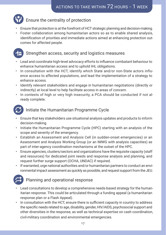# Ensure the centrality of protection

- Ensure that protection is at the forefront of HCT strategic planning and decision-making.
- Foster collaboration among humanitarian actors so as to enable shared analysis, identification of priorities and immediate actions aimed at enhancing protection outcomes for affected people.



### Strengthen access, security and logistics measures

- Lead and coordinate high-level advocacy efforts to influence combatant behaviour to enhance humanitarian access and to uphold IHL obligations.
- In consultation with the HCT, identify which State and/or non-State actors influence access to affected populations, and lead the implementation of a strategy to enhance access.
- Identify relevant stakeholders and engage in humanitarian negotiations (directly or indirectly) at local level to help facilitate access in areas of concern.
- In contexts of high or very high insecurity, a PCA should be conducted if not already complete.



# Initiate the Humanitarian Programme Cycle

- Ensure that key stakeholders use situational analysis updates and products to inform decision-making.
- Initiate the Humanitarian Programme Cycle (HPC) starting with an analysis of the scope and severity of the emergency.
- Establish an Assessment and Analysis Cell (in sudden-onset emergencies) or an Assessment and Analysis Working Group (or an IMWG with analysis capacities) as part of inter-agency coordination mechanisms at the outset of the HPC.
- Ensure agencies, clusters/sectors and organizations have the requisite capacity (staff and resources) for dedicated joint needs and response analysis and planning, and request further surge support (OCHA, UNDAC) if required.
- If warranted, urge national authorities and/or humanitarian partners to conduct an environmental impact assessment as quickly as possible, and request support from the JEU.



# Planning and operational response

- Lead consultations to develop a comprehensive needs-based strategy for the humanitarian response. This could be articulated through a funding appeal (a humanitarian response plan or a Flash Appeal).
- In consultation with the HCT, ensure there is sufficient capacity in country to address the specific needs related to age, disability, gender, HIV/AIDS, psychosocial support and other diversities in the response, as well as technical expertise on cash coordination, civil-military coordination and environmental emergencies.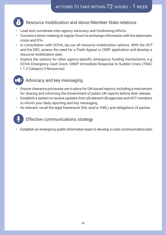

### Resource mobilization and donor/Member State relations

- Lead and coordinate inter-agency advocacy and fundraising efforts.
- Convene a donor meeting or regular forum to exchange information with the diplomatic corps and IFIs.
- In consultation with OCHA, lay out all resource mobilization options. With the HCT and the ERC, assess the need for a Flash Appeal or CERF application and develop a resource mobilization plan.
- Explore the options for other agency-specific emergency funding mechanisms, e.g. OCHA Emergency Cash Grant, UNDP Immediate Response to Sudden Crisis (TRAC 1.1.3 Category II Resources).



# Advocacy and key messaging

- Ensure clearance processes are in place for UN-issued reports, including a mechanism for sharing and informing the Government of public UN reports before their release.
- Establish a system to receive updates from all relevant UN agencies and HCT members to inform your daily reporting and key messaging.
- As relevant, recall the legal framework (IHL and/or IHRL) and obligations of parties.



• Establish an emergency public information team to develop a crisis communication plan.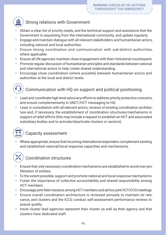

# Strong relations with Government

- Obtain a clear list of priority needs, and the technical support and assistance that the Government is requesting from the international community, and update regularly.
- Engage and maintain dialogue with all relevant stakeholders and humanitarian actors, including national and local authorities.
- Ensure strong coordination and communication with sub-district authorities, where applicable.
- Ensure all UN agencies maintain close engagement with their ministerial counterparts.
- Promote regular discussion of humanitarian principles and standards between national and international actors to help create shared understanding.
- Encourage close coordination (where possible) between humanitarian actors and authorities at the local and district levels.



- Lead and coordinate high-level advocacy efforts to address priority protection concerns, and ensure complementarity in UNCT/HCT messaging to HQ.
- Lead, in consultation with all relevant actors, reviews of existing coordination architecture and, if necessary, the establishment of coordination structures/mechanisms in support of relief efforts (this may include a request to establish an HCT and associated subsidiary bodies and to activate/deactivate clusters or sectors).



• Where appropriate, ensure that incoming international responders complement existing and established national/local response capacities and mechanisms.



# Coordination structures

- Ensure that only necessary coordination mechanisms are established to avoid over-proliferation of entities.
- To the extent possible, support and promote national and local response mechanisms.
- Foster the importance of collective accountability and shared responsibility among HCT members.
- Encourage joint field missions among HCT members and ad hoc joint HCT-ICCG meetings.
- Ensure overall coordination architecture is reviewed annually to maintain its relevance, and clusters and the ICCG conduct self-assessment performance reviews to assure quality.
- Insist cluster lead agencies represent their cluster as well as their agency and that clusters have dedicated staff.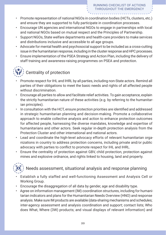- Promote representation of national NGOs in coordination bodies (HCTs, clusters, etc.) and ensure they are supported to fully participate in coordination processes.
- Encourage UN agencies and international NGOs to engage in partnerships with local and national NGOs based on mutual respect and the Principles of Partnership.
- Support NGOs, State welfare departments and health-care providers to make services and distributions inclusive and accessible to all age groups.
- Advocate for mental health and psychosocial support to be included as a cross-cutting issue in the humanitarian response, including in the cluster response and HPC processes.
- Ensure implementation of the PSEA Strategy and Action Plan, including the delivery of staff training and awareness-raising programmes on PSEA and protection.



# Centrality of protection

- Promote respect for IHL and IHRL by all parties, including non-State actors. Remind all parties of their obligations to meet the basic needs and rights of all affected people without discrimination.
- Encourage all parties to allow and facilitate relief activities. To gain acceptance, explain the strictly humanitarian nature of these activities (e.g. by referring to the humanitarian principles).
- In consultation with the HCT, ensure protection priorities are identified and addressed in strategic humanitarian planning and decision-making. Promote a collaborative approach to enable collective analysis and action to enhance protection outcomes for affected people, harnessing the diverse mandates, knowledge and expertise of humanitarians and other actors. Seek regular in-depth protection analysis from the Protection Cluster and other international and national actors.
- Lead and coordinate the high-level advocacy efforts of relevant humanitarian organizations in country to address protection concerns, including private and/or public advocacy with parties to conflict to promote respect for IHL and IHRL.
- Ensure the centrality of protection against GBV, child protection, protection against mines and explosive ordnance, and rights linked to housing, land and property.



- Establish a fully staffed and well-functioning Assessment and Analysis Cell or Working Group.
- Encourage the disaggregation of all data by gender, age and disability type.
- Agree on information management (IM) coordination structures, including for humanitarian indicators and plans for the Humanitarian Needs Overview (HNO) and response analysis. Make sure IM products are available (data-sharing mechanisms and schedules; inter-agency assessment and analysis coordination and support; contact lists; Who does What, Where (3W) products; and visual displays of relevant information) and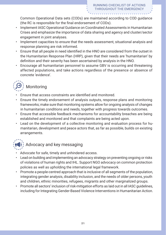Common Operational Data sets (CODs) are maintained according to COD guidance (the RC is responsible for the final endorsement of CODs).

- Implement IASC Operational Guidance on Coordinated Assessments in Humanitarian Crises and emphasize the importance of data sharing and agency and cluster/sector engagement in joint analyses.
- Implement capacities to ensure that the needs assessment, situational analysis and response planning are risk informed.
- Ensure that all people in need identified in the HNO are considered from the outset in the Humanitarian Response Plan (HRP), given that their needs are 'humanitarian' by definition and their severity has been ascertained by analysis in the HNO.
- Encourage all humanitarian personnel to assume GBV is occurring and threatening affected populations, and take actions regardless of the presence or absence of concrete 'evidence'.



- Ensure that access constraints are identified and monitored.
- Ensure the timely endorsement of analysis outputs, response plans and monitoring frameworks; make sure that monitoring systems allow for ongoing analysis of changes in humanitarian conditions and needs, together with progress towards outcomes.
- Ensure that accessible feedback mechanisms for accountability breaches are being established and monitored and that complaints are being acted upon.
- Lead on the development of a collective monitoring and evaluation process for humanitarian, development and peace actors that, as far as possible, builds on existing arrangements.



# $\left( \epsilon \right)$  Advocacy and key messaging

- Advocate for safe, timely and unhindered access.
- Lead on building and implementing an advocacy strategy on preventing ongoing or risks of violations of human rights and IHL. Support NGO advocacy on common protection policies as well as upholding the international legal framework.
- Promote a people-centred approach that is inclusive of all segments of the population, integrating gender analysis, disability inclusion, and the needs of older persons, youth and children, ethnic minorities, refugees, migrants and other marginalized groups.
- Promote all sectors' inclusion of risk-mitigation efforts as laid out in all IASC guidelines, including for Integrating Gender-Based Violence Interventions in Humanitarian Action.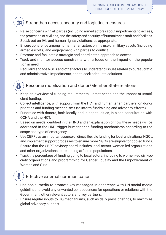# Strengthen access, security and logistics measures

- Raise concerns with all parties (including armed actors) about impediments to access, the protection of civilians, and the safety and security of humanitarian staff and facilities. Speak out on IHL and human rights violations, as appropriate.
- Ensure coherence among humanitarian actors on the use of military assets (including armed escorts) and engagement with parties to conflict.
- Promote and facilitate a strategic and coordinated approach to access.
- Track and monitor access constraints with a focus on the impact on the population in need.
- Regularly engage NGOs and other actors to understand issues related to bureaucratic and administrative impediments, and to seek adequate solutions.



# Resource mobilization and donor/Member State relations

- Keep an overview of funding requirements, unmet needs and the impact of insufficient funding.
- Collect intelligence, with support from the HCT and humanitarian partners, on donor priorities and funding mechanisms (to inform fundraising and advocacy efforts).
- Fundraise with donors, both locally and in capital cities, in close consultation with OCHA and the HCT.
- Based on needs identified in the HNO and an explanation of how these needs will be addressed in the HRP, trigger humanitarian funding mechanisms according to the scope and type of emergency.
- Use CBPFs as an important source of direct, flexible funding for local and national NGOs, and implement support processes to ensure more NGOs are eligible for pooled funds. Ensure that the CBPF advisory board includes local actors, women-led organizations and other organizations representing affected populations.
- Track the percentage of funding going to local actors, including to women-led civil-society organizations and programming for Gender Equality and the Empowerment of Women and Girls.



- Use social media to promote key messages in adherence with UN social media guidelines to avoid any unwanted consequences for operations or relations with the Government, other relevant actors and key partners.
- Ensure regular inputs to HQ mechanisms, such as daily press briefings, to maximize global advocacy support.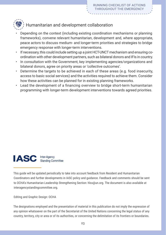

# Humanitarian and development collaboration

- Depending on the context (including existing coordination mechanisms or planning frameworks), convene relevant humanitarian, development and, where appropriate, peace actors to discuss medium- and longer-term priorities and strategies to bridge emergency response with longer-term interventions.
- If necessary, this could include setting up a joint HCT-UNCT mechanism and ensuring coordination with other development partners, such as bilateral donors and IFIs in country.
- In consultation with the Government, key implementing agencies/organizations and bilateral donors, agree on priority areas or 'collective outcomes'.
- Determine the targets to be achieved in each of these areas (e.g. food insecurity, access to basic social services) and the activities required to achieve them. Consider how these activities can be planned for in existing planning frameworks.
- Lead the development of a financing overview to bridge short-term humanitarian programming with longer-term development interventions towards agreed priorities.



This guide will be updated periodically to take into account feedback from Resident and Humanitarian Coordinators and further developments in IASC policy and guidance. Feedback and comments should be sent to OCHA's Humanitarian Leadership Strengthening Section: [hlss@un.org](mailto:hlss%40un.org?subject=). The document is also available at [interagencystandingcommittee.org.](https://interagencystandingcommittee.org)

#### Editing and Graphic Design: OCHA

The designations employed and the presentation of material in this publication do not imply the expression of any opinion whatsoever on the part of the Secretariat of the United Nations concerning the legal status of any country, territory, city or area or of its authorities, or concerning the delimitation of its frontiers or boundaries.